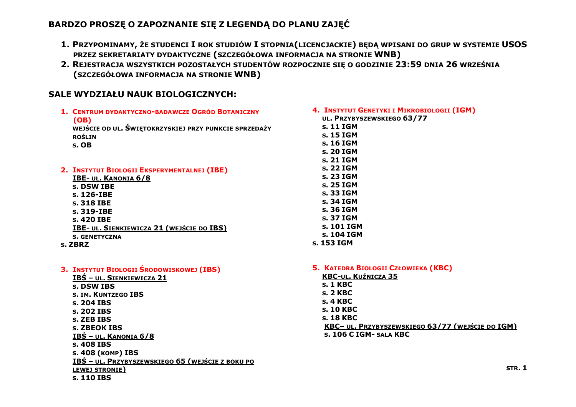## **BARDZO PROSZĘ O ZAPOZNANIE SIĘ Z LEGENDĄ DO PLANU ZAJĘĆ**

- **1. PRZYPOMINAMY, ŻE STUDENCI I ROK STUDIÓW I STOPNIA(LICENCJACKIE) BĘDĄ WPISANI DO GRUP W SYSTEMIE USOS PRZEZ SEKRETARIATY DYDAKTYCZNE (SZCZEGÓŁOWA INFORMACJA NA STRONIE WNB)**
- **2. REJESTRACJA WSZYSTKICH POZOSTAŁYCH STUDENTÓW ROZPOCZNIE SIĘ O GODZINIE 23:59 DNIA 26 WRZEŚNIA (SZCZEGÓŁOWA INFORMACJA NA STRONIE WNB)**

## **SALE WYDZIAŁU NAUK BIOLOGICZNYCH:**

| 4. INSTYTUT GENETYKI I MIKROBIOLOGII (IGM)<br>UL. PRZYBYSZEWSKIEGO 63/77<br>s. 11 IGM<br>s. 15 IGM<br>s. 16 IGM<br>s. 20 IGM<br>s. 21 IGM                                                                                                           |
|-----------------------------------------------------------------------------------------------------------------------------------------------------------------------------------------------------------------------------------------------------|
| s. 22 IGM<br>s. 23 IGM<br>s. 25 IGM<br>s. 33 IGM<br>s. 34 IGM<br>s. 36 IGM<br>s. 37 IGM<br>s. 101 IGM<br>s. 104 IGM<br>s. 153 IGM                                                                                                                   |
| 5. KATEDRA BIOLOGII CZŁOWIEKA (KBC)<br><b>KBC-UL. KUŹNICZA 35</b><br><b>s. 1 KBC</b><br><b>s. 2 KBC</b><br><b>s. 4 KBC</b><br>s. 10 KBC<br>s. 18 KBC<br>KBC- UL. PRZYBYSZEWSKIEGO 63/77 (WEJŚCIE DO IGM)<br>S. 106 C IGM- SALA KBC<br><b>STR. 1</b> |
|                                                                                                                                                                                                                                                     |